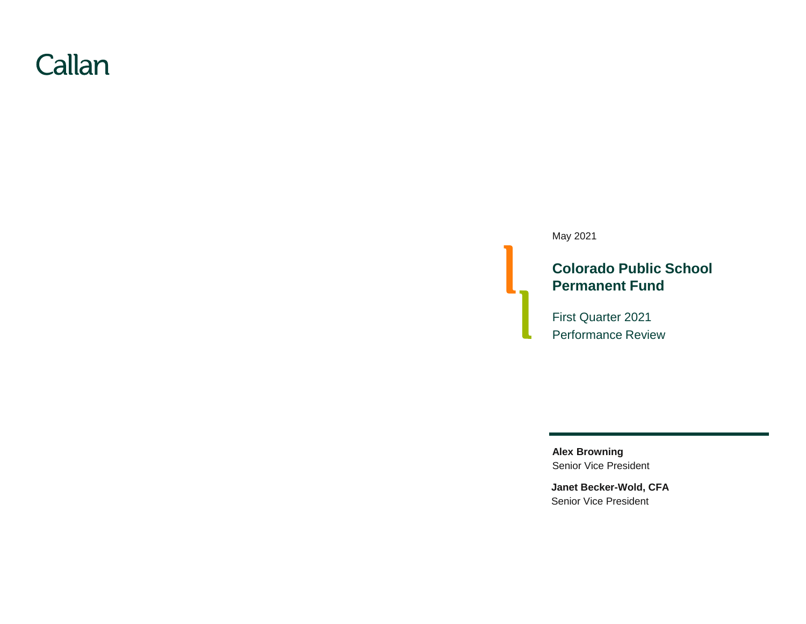# Callan

May 2021

### **Colorado Public School Permanent Fund**

First Quarter 2021 Performance Review

Senior Vice President **Alex Browning**

**Janet Becker-Wold, CFA** Senior Vice President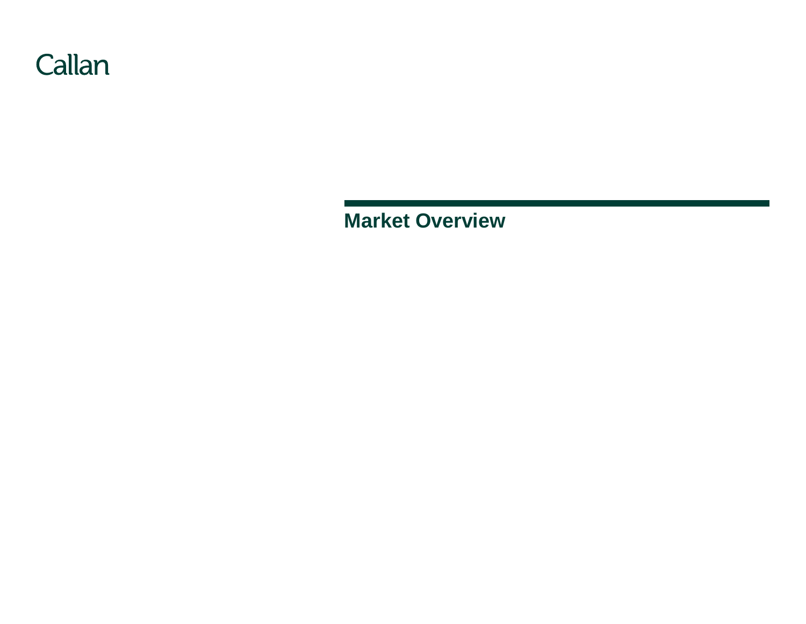

**Market Overview**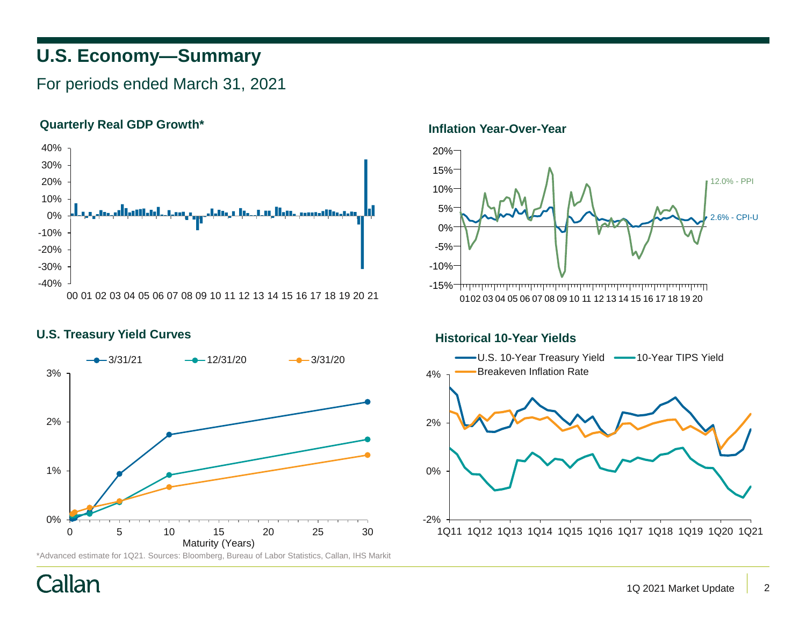# **U.S. Economy—Summary**

For periods ended March 31, 2021

### **Quarterly Real GDP Growth\***



### U.S. Treasury Yield Curves **All and Stream Act 2018 Historical 10-Year Yields**



\*Advanced estimate for 1Q21. Sources: Bloomberg, Bureau of Labor Statistics, Callan, IHS Markit

### **Inflation Year-Over-Year**



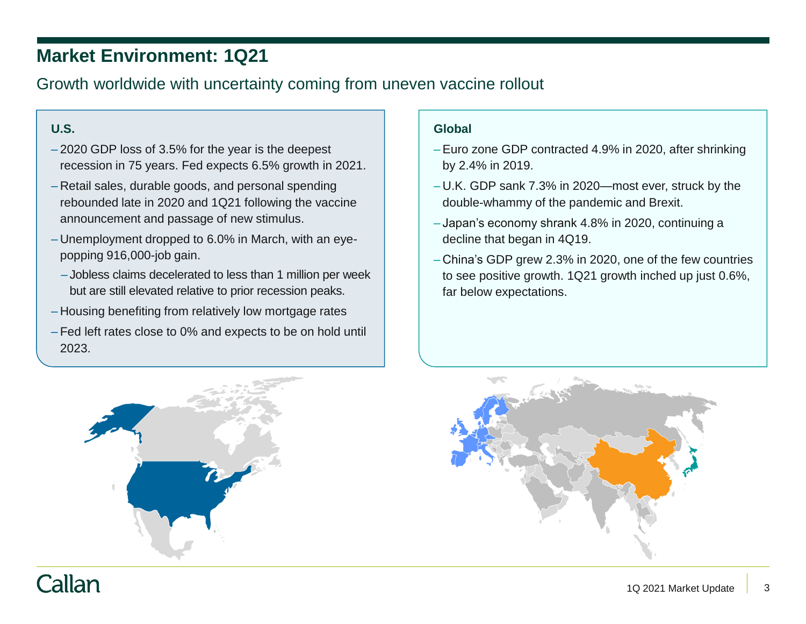# **Market Environment: 1Q21**

## Growth worldwide with uncertainty coming from uneven vaccine rollout

### **U.S.**

- 2020 GDP loss of 3.5% for the year is the deepest recession in 75 years. Fed expects 6.5% growth in 2021.
- Retail sales, durable goods, and personal spending rebounded late in 2020 and 1Q21 following the vaccine announcement and passage of new stimulus.
- Unemployment dropped to 6.0% in March, with an eyepopping 916,000-job gain.
	- Jobless claims decelerated to less than 1 million per week but are still elevated relative to prior recession peaks.
- Housing benefiting from relatively low mortgage rates
- Fed left rates close to 0% and expects to be on hold until 2023.

### **Global**

- Euro zone GDP contracted 4.9% in 2020, after shrinking by 2.4% in 2019.
- U.K. GDP sank 7.3% in 2020—most ever, struck by the double-whammy of the pandemic and Brexit.
- Japan's economy shrank 4.8% in 2020, continuing a decline that began in 4Q19.
- China's GDP grew 2.3% in 2020, one of the few countries to see positive growth. 1Q21 growth inched up just 0.6%, far below expectations.



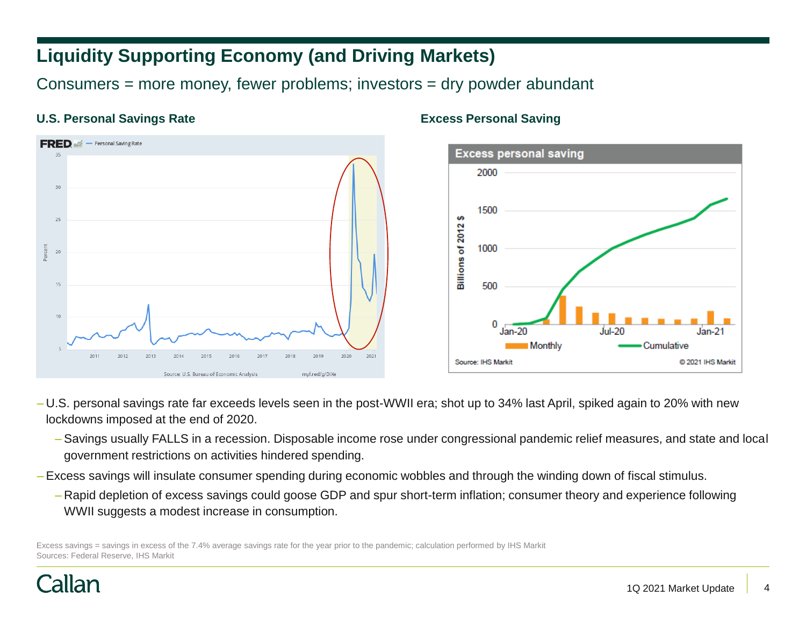# **Liquidity Supporting Economy (and Driving Markets)**

Consumers = more money, fewer problems; investors = dry powder abundant

### **U.S. Personal Savings Rate Excess Personal Saving**





- U.S. personal savings rate far exceeds levels seen in the post-WWII era; shot up to 34% last April, spiked again to 20% with new lockdowns imposed at the end of 2020.
	- Savings usually FALLS in a recession. Disposable income rose under congressional pandemic relief measures, and state and local government restrictions on activities hindered spending.
- Excess savings will insulate consumer spending during economic wobbles and through the winding down of fiscal stimulus.
	- Rapid depletion of excess savings could goose GDP and spur short-term inflation; consumer theory and experience following WWII suggests a modest increase in consumption.

Excess savings = savings in excess of the 7.4% average savings rate for the year prior to the pandemic; calculation performed by IHS Markit Sources: Federal Reserve, IHS Markit

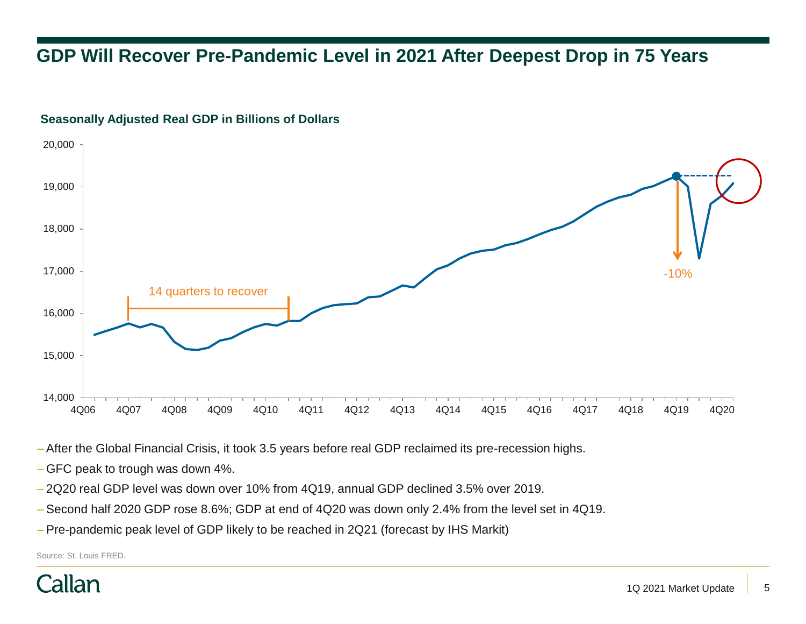# **GDP Will Recover Pre-Pandemic Level in 2021 After Deepest Drop in 75 Years**



### **Seasonally Adjusted Real GDP in Billions of Dollars**

– After the Global Financial Crisis, it took 3.5 years before real GDP reclaimed its pre-recession highs.

- GFC peak to trough was down 4%.
- 2Q20 real GDP level was down over 10% from 4Q19, annual GDP declined 3.5% over 2019.
- Second half 2020 GDP rose 8.6%; GDP at end of 4Q20 was down only 2.4% from the level set in 4Q19.
- Pre-pandemic peak level of GDP likely to be reached in 2Q21 (forecast by IHS Markit)

Source: St. Louis FRED.

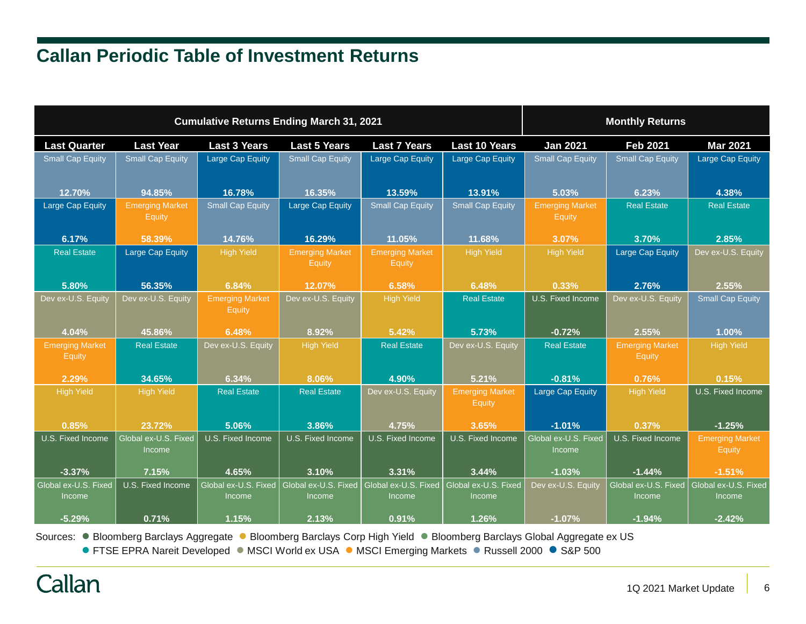# **Callan Periodic Table of Investment Returns**

| <b>Cumulative Returns Ending March 31, 2021</b> |                                  |                                  |                                  |                                         |                                         | <b>Monthly Returns</b>                |                                  |                                  |  |
|-------------------------------------------------|----------------------------------|----------------------------------|----------------------------------|-----------------------------------------|-----------------------------------------|---------------------------------------|----------------------------------|----------------------------------|--|
| <b>Last Quarter</b>                             | <b>Last Year</b>                 | <b>Last 3 Years</b>              | <b>Last 5 Years</b>              | <b>Last 7 Years</b>                     | <b>Last 10 Years</b>                    | <b>Jan 2021</b>                       | <b>Feb 2021</b>                  | <b>Mar 2021</b>                  |  |
| <b>Small Cap Equity</b>                         | <b>Small Cap Equity</b>          | Large Cap Equity                 | <b>Small Cap Equity</b>          | Large Cap Equity                        | <b>Large Cap Equity</b>                 | <b>Small Cap Equity</b>               | <b>Small Cap Equity</b>          | Large Cap Equity                 |  |
| 12.70%                                          | 94.85%                           | 16.78%                           | 16.35%                           | 13.59%                                  | 13.91%                                  | 5.03%                                 | 6.23%                            | 4.38%                            |  |
| Large Cap Equity                                | <b>Emerging Market</b><br>Equity | <b>Small Cap Equity</b>          | <b>Large Cap Equity</b>          | <b>Small Cap Equity</b>                 | <b>Small Cap Equity</b>                 | <b>Emerging Market</b><br>Equity      | <b>Real Estate</b>               | <b>Real Estate</b>               |  |
| 6.17%                                           | 58.39%                           | 14.76%                           | 16.29%                           | 11.05%                                  | 11.68%                                  | 3.07%                                 | 3.70%                            | 2.85%                            |  |
| <b>Real Estate</b>                              | Large Cap Equity                 | <b>High Yield</b>                | <b>Emerging Market</b><br>Equity | <b>Emerging Market</b><br><b>Equity</b> | <b>High Yield</b>                       | High Yield                            | Large Cap Equity                 | Dev ex-U.S. Equity               |  |
| 5.80%                                           | 56.35%                           | 6.84%                            | 12.07%                           | 6.58%                                   | 6.48%                                   | 0.33%                                 | 2.76%                            | 2.55%                            |  |
| Dev ex-U.S. Equity                              | Dev ex-U.S. Equity               | <b>Emerging Market</b><br>Equity | Dev ex-U.S. Equity               | <b>High Yield</b>                       | <b>Real Estate</b>                      | U.S. Fixed Income                     | Dev ex-U.S. Equity               | <b>Small Cap Equity</b>          |  |
| 4.04%                                           | 45.86%                           | 6.48%                            | 8.92%                            | 5.42%                                   | 5.73%                                   | $-0.72%$                              | 2.55%                            | 1.00%                            |  |
| <b>Emerging Market</b><br>Equity                | <b>Real Estate</b>               | Dev ex-U.S. Equity               | <b>High Yield</b>                | <b>Real Estate</b>                      | Dev ex-U.S. Equity                      | <b>Real Estate</b>                    | <b>Emerging Market</b><br>Equity | <b>High Yield</b>                |  |
| 2.29%                                           | 34.65%                           | 6.34%                            | 8.06%                            | 4.90%                                   | 5.21%                                   | $-0.81%$                              | 0.76%                            | 0.15%                            |  |
| <b>High Yield</b>                               | <b>High Yield</b>                | <b>Real Estate</b>               | <b>Real Estate</b>               | Dev ex-U.S. Equity                      | <b>Emerging Market</b><br><b>Equity</b> | <b>Large Cap Equity</b>               | <b>High Yield</b>                | U.S. Fixed Income                |  |
| 0.85%                                           | 23.72%                           | 5.06%                            | 3.86%                            | 4.75%                                   | 3.65%                                   | $-1.01%$                              | 0.37%                            | $-1.25%$                         |  |
| U.S. Fixed Income                               | Global ex-U.S. Fixed<br>Income   | U.S. Fixed Income                | U.S. Fixed Income                | U.S. Fixed Income                       | U.S. Fixed Income                       | Global ex-U.S. Fixed<br><b>Income</b> | U.S. Fixed Income                | <b>Emerging Market</b><br>Equity |  |
| $-3.37%$                                        | 7.15%                            | 4.65%                            | 3.10%                            | 3.31%                                   | 3.44%                                   | $-1.03%$                              | $-1.44%$                         | $-1.51%$                         |  |
| Global ex-U.S. Fixed<br>Income                  | U.S. Fixed Income                | Global ex-U.S. Fixed<br>Income   | Global ex-U.S. Fixed<br>Income   | Global ex-U.S. Fixed<br>Income          | Global ex-U.S. Fixed<br>Income          | Dev ex-U.S. Equity                    | Global ex-U.S. Fixed<br>Income   | Global ex-U.S. Fixed<br>Income   |  |
| $-5.29%$                                        | 0.71%                            | 1.15%                            | 2.13%                            | 0.91%                                   | 1.26%                                   | $-1.07%$                              | $-1.94%$                         | $-2.42%$                         |  |

Sources: ● Bloomberg Barclays Aggregate ● Bloomberg Barclays Corp High Yield ● Bloomberg Barclays Global Aggregate ex US

● FTSE EPRA Nareit Developed ● MSCI World ex USA ● MSCI Emerging Markets ● Russell 2000 ● S&P 500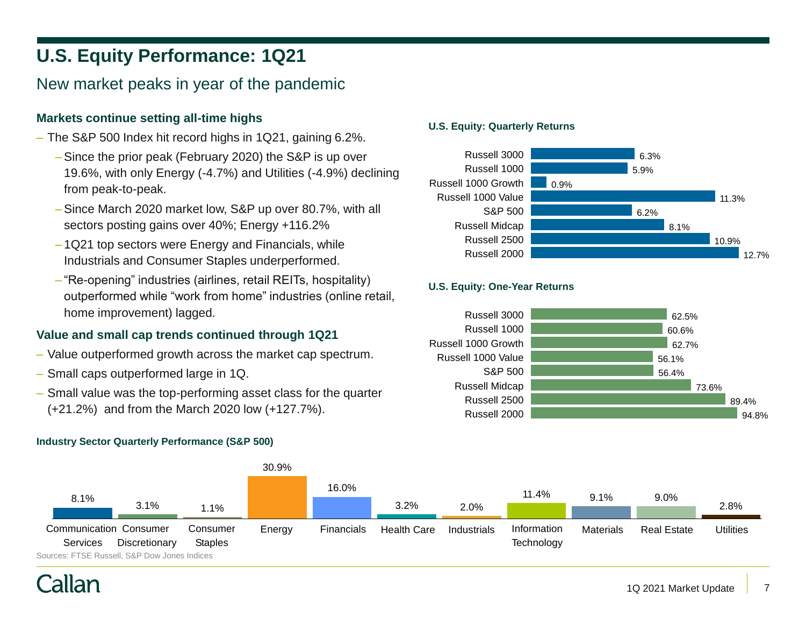# **U.S. Equity Performance: 1Q21**

### New market peaks in year of the pandemic

### **Markets continue setting all-time highs**

- The S&P 500 Index hit record highs in 1Q21, gaining 6.2%.
	- –Since the prior peak (February 2020) the S&P is up over 19.6%, with only Energy (-4.7%) and Utilities (-4.9%) declining from peak-to-peak.
	- –Since March 2020 market low, S&P up over 80.7%, with all sectors posting gains over 40%; Energy +116.2%
	- 1Q21 top sectors were Energy and Financials, while Industrials and Consumer Staples underperformed.
	- "Re-opening" industries (airlines, retail REITs, hospitality) outperformed while "work from home" industries (online retail, home improvement) lagged.

### **Value and small cap trends continued through 1Q21**

- Value outperformed growth across the market cap spectrum.
- Small caps outperformed large in 1Q.
- Small value was the top-performing asset class for the quarter (+21.2%) and from the March 2020 low (+127.7%).

### **Industry Sector Quarterly Performance (S&P 500)**

#### **U.S. Equity: Quarterly Returns**



### **U.S. Equity: One-Year Returns**



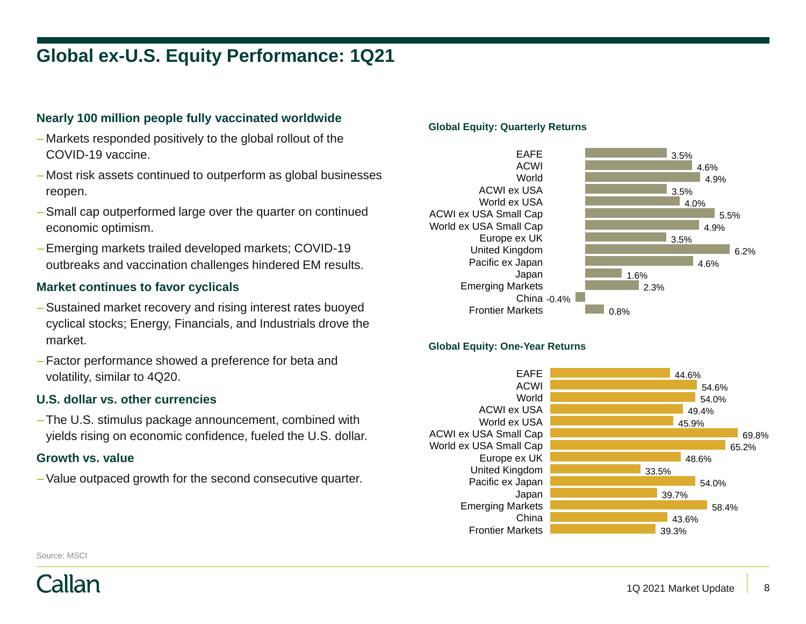# **Global ex-U.S. Equity Performance: 1Q21**

### **Nearly 100 million people fully vaccinated worldwide**

- Markets responded positively to the global rollout of the COVID-19 vaccine.
- Most risk assets continued to outperform as global businesses reopen.
- Small cap outperformed large over the quarter on continued economic optimism.
- Emerging markets trailed developed markets; COVID-19 outbreaks and vaccination challenges hindered EM results.

#### **Market continues to favor cyclicals**

- Sustained market recovery and rising interest rates buoyed cyclical stocks; Energy, Financials, and Industrials drove the market.
- Factor performance showed a preference for beta and volatility, similar to 4Q20.

#### **U.S. dollar vs. other currencies**

– The U.S. stimulus package announcement, combined with yields rising on economic confidence, fueled the U.S. dollar.

#### **Growth vs. value**

– Value outpaced growth for the second consecutive quarter.

#### **Global Equity: Quarterly Returns**



#### **Global Equity: One-Year Returns**



Source: MSCI

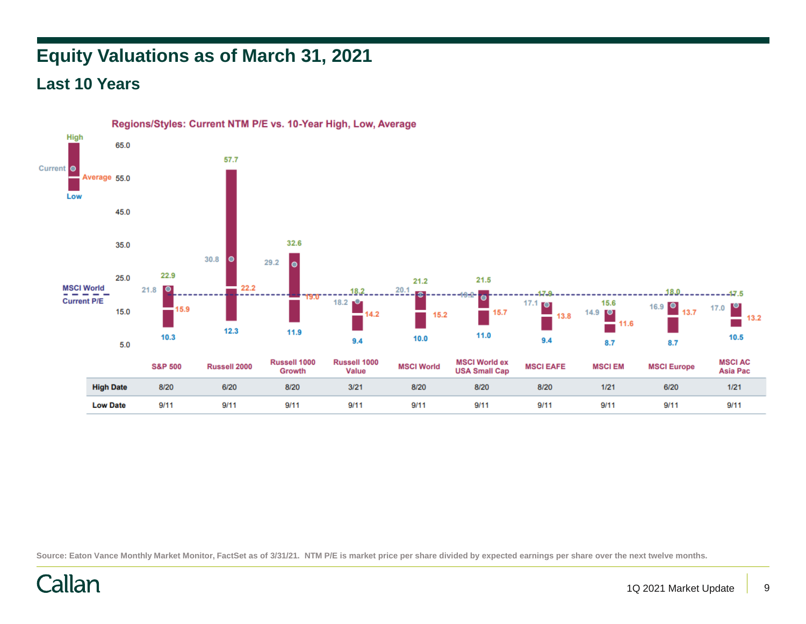# **Equity Valuations as of March 31, 2021**

## **Last 10 Years**



Source: Eaton Vance Monthly Market Monitor, FactSet as of 3/31/21. NTM P/E is market price per share divided by expected earnings per share over the next twelve months.

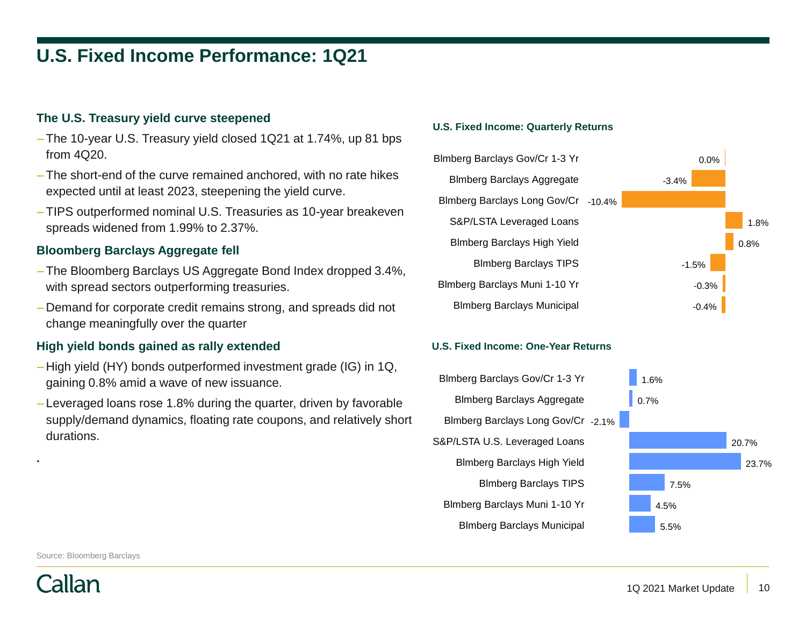# **U.S. Fixed Income Performance: 1Q21**

### **The U.S. Treasury yield curve steepened**

- The 10-year U.S. Treasury yield closed 1Q21 at 1.74%, up 81 bps from 4Q20.
- The short-end of the curve remained anchored, with no rate hikes expected until at least 2023, steepening the yield curve.
- TIPS outperformed nominal U.S. Treasuries as 10-year breakeven spreads widened from 1.99% to 2.37%.

#### **Bloomberg Barclays Aggregate fell**

- The Bloomberg Barclays US Aggregate Bond Index dropped 3.4%, with spread sectors outperforming treasuries.
- Demand for corporate credit remains strong, and spreads did not change meaningfully over the quarter

#### **High yield bonds gained as rally extended**

- High yield (HY) bonds outperformed investment grade (IG) in 1Q, gaining 0.8% amid a wave of new issuance.
- Leveraged loans rose 1.8% during the quarter, driven by favorable supply/demand dynamics, floating rate coupons, and relatively short durations.

#### **U.S. Fixed Income: Quarterly Returns**



#### **U.S. Fixed Income: One-Year Returns**



Source: Bloomberg Barclays



**.**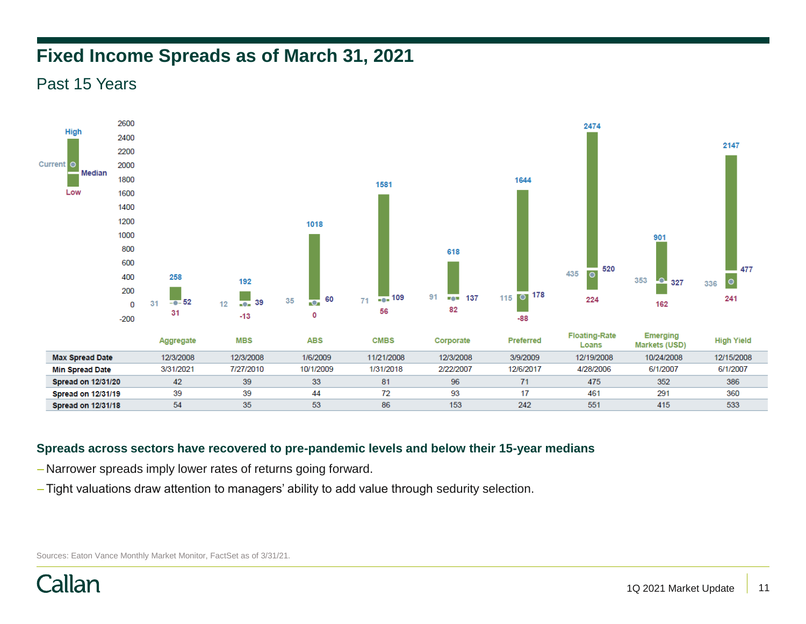# **Fixed Income Spreads as of March 31, 2021**

Past 15 Years



### **Spreads across sectors have recovered to pre-pandemic levels and below their 15-year medians**

- Narrower spreads imply lower rates of returns going forward.
- Tight valuations draw attention to managers' ability to add value through sedurity selection.

Sources: Eaton Vance Monthly Market Monitor, FactSet as of 3/31/21.

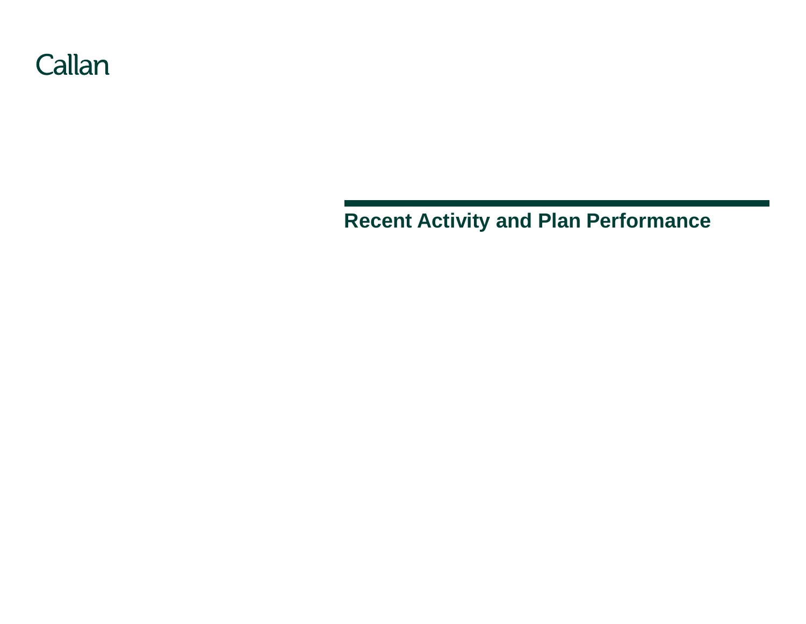

# **Recent Activity and Plan Performance**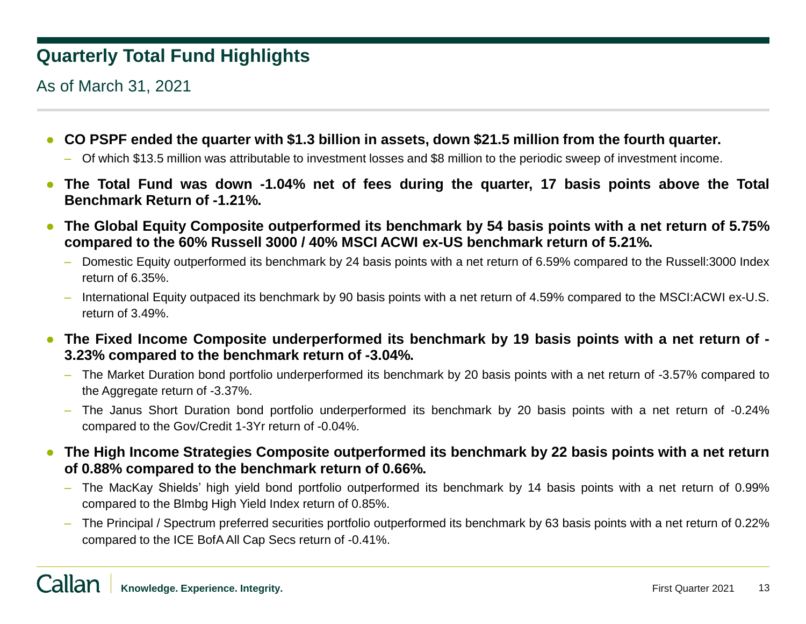# **Quarterly Total Fund Highlights**

As of March 31, 2021

- **CO PSPF ended the quarter with \$1.3 billion in assets, down \$21.5 million from the fourth quarter.**
	- Of which \$13.5 million was attributable to investment losses and \$8 million to the periodic sweep of investment income.
- **The Total Fund was down -1.04% net of fees during the quarter, 17 basis points above the Total Benchmark Return of -1.21%.**
- **The Global Equity Composite outperformed its benchmark by 54 basis points with a net return of 5.75% compared to the 60% Russell 3000 / 40% MSCI ACWI ex-US benchmark return of 5.21%.**
	- Domestic Equity outperformed its benchmark by 24 basis points with a net return of 6.59% compared to the Russell:3000 Index return of 6.35%.
	- International Equity outpaced its benchmark by 90 basis points with a net return of 4.59% compared to the MSCI:ACWI ex-U.S. return of 3.49%.
- **The Fixed Income Composite underperformed its benchmark by 19 basis points with a net return of - 3.23% compared to the benchmark return of -3.04%.**
	- The Market Duration bond portfolio underperformed its benchmark by 20 basis points with a net return of -3.57% compared to the Aggregate return of -3.37%.
	- The Janus Short Duration bond portfolio underperformed its benchmark by 20 basis points with a net return of -0.24% compared to the Gov/Credit 1-3Yr return of -0.04%.
- **The High Income Strategies Composite outperformed its benchmark by 22 basis points with a net return of 0.88% compared to the benchmark return of 0.66%.**
	- The MacKay Shields' high yield bond portfolio outperformed its benchmark by 14 basis points with a net return of 0.99% compared to the Blmbg High Yield Index return of 0.85%.
	- The Principal / Spectrum preferred securities portfolio outperformed its benchmark by 63 basis points with a net return of 0.22% compared to the ICE BofAAll Cap Secs return of -0.41%.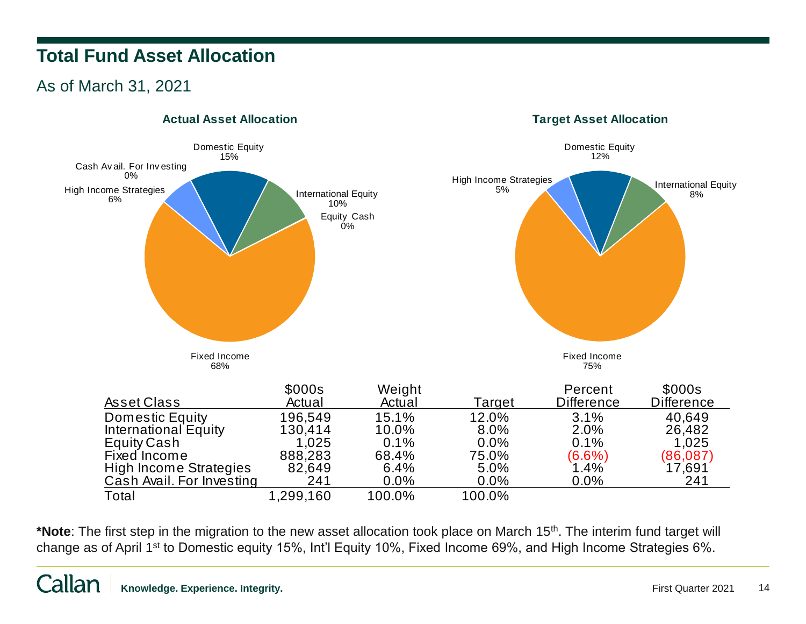# **Total Fund Asset Allocation**

## As of March 31, 2021



### **Actual Asset Allocation**

\***Note**: The first step in the migration to the new asset allocation took place on March 15<sup>th</sup>. The interim fund target will change as of April 1st to Domestic equity 15%, Int'l Equity 10%, Fixed Income 69%, and High Income Strategies 6%.

**Target Asset Allocation**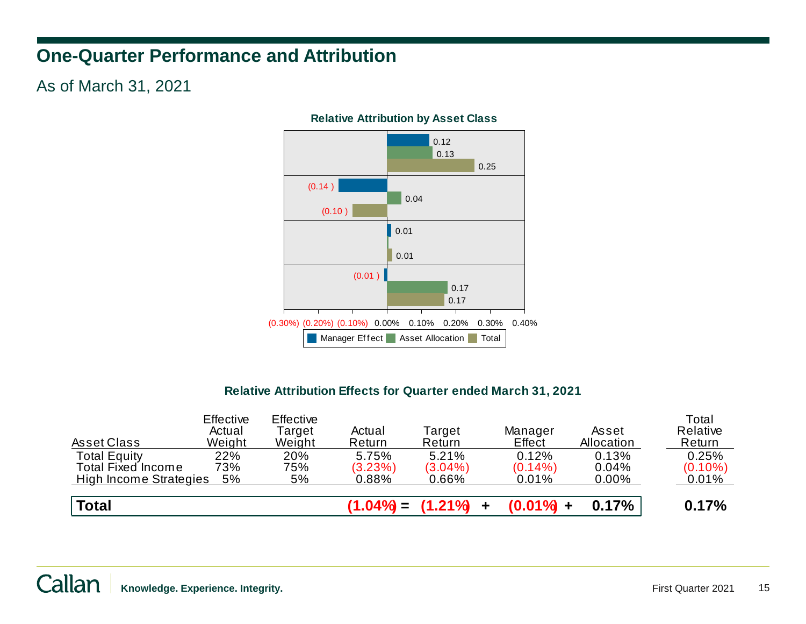# **One-Quarter Performance and Attribution**

### As of March 31, 2021



### **Relative Attribution by Asset Class**

### **Relative Attribution Effects for Quarter ended March 31, 2021**

| Asset Class                                      | <b>Effective</b><br>Actual<br>Weight | <b>Effective</b><br>Target<br>Weight | Actual<br>Return | Target<br>Return      | Manager<br>Effect   | Asset<br>Allocation | Total<br>Relative<br>Return |
|--------------------------------------------------|--------------------------------------|--------------------------------------|------------------|-----------------------|---------------------|---------------------|-----------------------------|
| <b>Total Equity</b><br><b>Total Fixed Income</b> | 22%<br>73%                           | 20%<br>75%                           | 5.75%<br>(3.23%) | 5.21%<br>$(3.04\%)$   | 0.12%<br>$(0.14\%)$ | 0.13%<br>0.04%      | 0.25%<br>$(0.10\%)$         |
| High Income Strategies                           | 5%                                   | 5%                                   | $0.88\%$         | $0.66\%$              | 0.01%               | $0.00\%$            | 0.01%                       |
| <b>Total</b>                                     |                                      |                                      |                  | $(1.04\%) = (1.21\%)$ | $(0.01\% +$         | 0.17%               | 0.17%                       |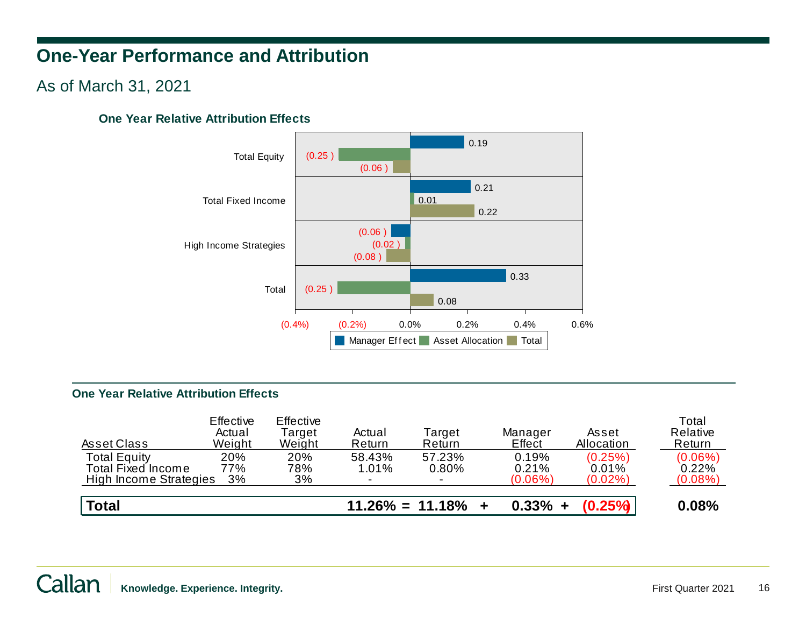# **One-Year Performance and Attribution**

### As of March 31, 2021

### **One Year Relative Attribution Effects**



### **One Year Relative Attribution Effects**

| Asset Class                                                                | Effective<br>Actual<br>Weight | Effective<br>Target<br>Weight | Actual<br>Return | Target<br>Return      | Manager<br>Effect            | Asset<br>Allocation            | Total<br>Relative<br>Return       |
|----------------------------------------------------------------------------|-------------------------------|-------------------------------|------------------|-----------------------|------------------------------|--------------------------------|-----------------------------------|
| <b>Total Equity</b><br><b>Total Fixed Income</b><br>High Income Strategies | 20%<br>77%<br>3%              | 20%<br>78%<br>3%              | 58.43%<br>1.01%  | 57.23%<br>0.80%       | 0.19%<br>0.21%<br>$(0.06\%)$ | (0.25%)<br>0.01%<br>$(0.02\%)$ | $(0.06\%)$<br>0.22%<br>$(0.08\%)$ |
| <b>Total</b>                                                               |                               |                               |                  | $11.26\% = 11.18\% +$ | $0.33\% +$                   | $(0.25\%)$                     | $0.08\%$                          |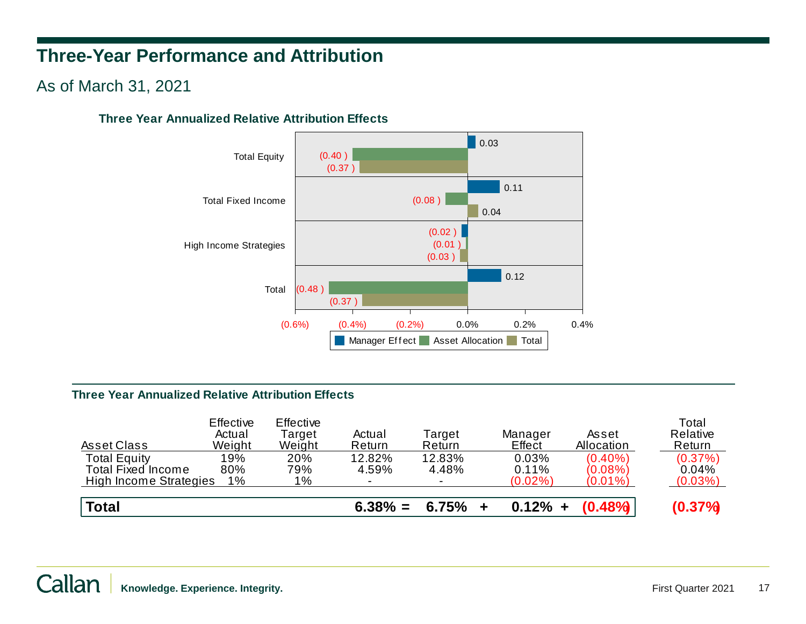# **Three-Year Performance and Attribution**

### As of March 31, 2021

### **Three Year Annualized Relative Attribution Effects**



### **Three Year Annualized Relative Attribution Effects**

| Asset Class                                                                | Effective<br>Actual<br>Weight | Effective<br>Target<br>Weight | Actual<br>Return | Target<br>Return | Manager<br>Effect            | Asset<br>Allocation                    | Total<br>Relative<br>Return    |
|----------------------------------------------------------------------------|-------------------------------|-------------------------------|------------------|------------------|------------------------------|----------------------------------------|--------------------------------|
| <b>Total Equity</b><br><b>Total Fixed Income</b><br>High Income Strategies | 19%<br>80%<br>$1\%$           | 20%<br>79%<br>$1\%$           | 12.82%<br>4.59%  | 12.83%<br>4.48%  | 0.03%<br>0.11%<br>$(0.02\%)$ | $(0.40\%)$<br>$(0.08\%)$<br>$(0.01\%)$ | (0.37%)<br>0.04%<br>$(0.03\%)$ |
| <b>Total</b>                                                               |                               |                               | $6.38\% =$       | 6.75%            | $0.12\% +$                   | $(0.48\%)$                             | $(0.37\%)$                     |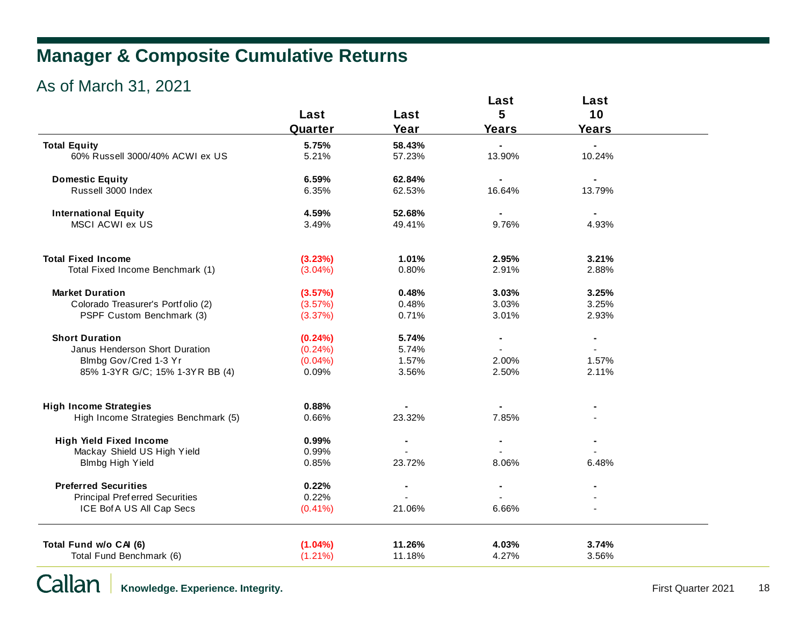# **Manager & Composite Cumulative Returns**

# As of March 31, 2021

|                                                    |                          |                  | Last           | Last           |  |
|----------------------------------------------------|--------------------------|------------------|----------------|----------------|--|
|                                                    | Last                     | Last             | 5              | 10             |  |
|                                                    | Quarter                  | Year             | <b>Years</b>   | <b>Years</b>   |  |
| <b>Total Equity</b>                                | 5.75%                    | 58.43%           |                |                |  |
| 60% Russell 3000/40% ACWI ex US                    | 5.21%                    | 57.23%           | 13.90%         | 10.24%         |  |
|                                                    |                          |                  |                |                |  |
| <b>Domestic Equity</b>                             | 6.59%                    | 62.84%           |                |                |  |
| Russell 3000 Index                                 | 6.35%                    | 62.53%           | 16.64%         | 13.79%         |  |
|                                                    |                          |                  |                |                |  |
| <b>International Equity</b>                        | 4.59%                    | 52.68%           |                |                |  |
| MSCI ACWI ex US                                    | 3.49%                    | 49.41%           | 9.76%          | 4.93%          |  |
| <b>Total Fixed Income</b>                          | (3.23%)                  | 1.01%            | 2.95%          | 3.21%          |  |
| Total Fixed Income Benchmark (1)                   | $(3.04\%)$               | 0.80%            | 2.91%          | 2.88%          |  |
|                                                    |                          |                  |                |                |  |
| <b>Market Duration</b>                             | (3.57%)                  | 0.48%            | 3.03%          | 3.25%          |  |
| Colorado Treasurer's Portfolio (2)                 | (3.57%)                  | 0.48%            | 3.03%          | 3.25%          |  |
| PSPF Custom Benchmark (3)                          | (3.37%)                  | 0.71%            | 3.01%          | 2.93%          |  |
| <b>Short Duration</b>                              | (0.24%)                  | 5.74%            | $\blacksquare$ | $\blacksquare$ |  |
| Janus Henderson Short Duration                     | $(0.24\%)$               | 5.74%            |                |                |  |
| Blmbg Gov/Cred 1-3 Yr                              | $(0.04\%)$               | 1.57%            | 2.00%          | 1.57%          |  |
| 85% 1-3YR G/C; 15% 1-3YR BB (4)                    | 0.09%                    | 3.56%            | 2.50%          | 2.11%          |  |
|                                                    |                          |                  |                |                |  |
| <b>High Income Strategies</b>                      | 0.88%                    |                  | 7.85%          |                |  |
| High Income Strategies Benchmark (5)               | 0.66%                    | 23.32%           |                |                |  |
| <b>High Yield Fixed Income</b>                     | 0.99%                    |                  |                |                |  |
| Mackay Shield US High Yield                        | 0.99%                    |                  |                |                |  |
| Blmbg High Yield                                   | 0.85%                    | 23.72%           | 8.06%          | 6.48%          |  |
| <b>Preferred Securities</b>                        | 0.22%                    |                  |                |                |  |
| <b>Principal Preferred Securities</b>              | 0.22%                    |                  |                |                |  |
| ICE Bof A US All Cap Secs                          | $(0.41\%)$               | 21.06%           | 6.66%          |                |  |
|                                                    |                          |                  |                |                |  |
| Total Fund w/o CAI (6)<br>Total Fund Benchmark (6) | $(1.04\%)$<br>$(1.21\%)$ | 11.26%<br>11.18% | 4.03%<br>4.27% | 3.74%<br>3.56% |  |
|                                                    |                          |                  |                |                |  |

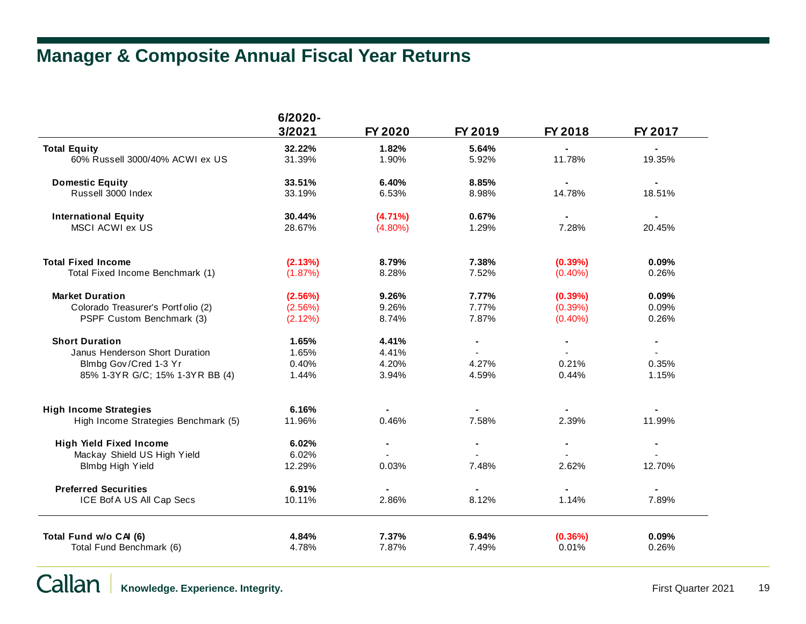# **Manager & Composite Annual Fiscal Year Returns**

| 3/2021<br>FY 2020<br>FY 2019<br>FY 2018<br>FY 2017<br>32.22%<br>1.82%<br>5.64%<br>60% Russell 3000/40% ACWI ex US<br>1.90%<br>11.78%<br>19.35%<br>31.39%<br>5.92%<br><b>Domestic Equity</b><br>33.51%<br>6.40%<br>8.85%<br>Russell 3000 Index<br>8.98%<br>14.78%<br>18.51%<br>33.19%<br>6.53%<br><b>International Equity</b><br>30.44%<br>$(4.71\%)$<br>0.67%<br>$\blacksquare$<br>MSCI ACWI ex US<br>28.67%<br>$(4.80\%)$<br>1.29%<br>7.28%<br>20.45%<br>8.79%<br>7.38%<br>0.09%<br>(2.13%)<br>(0.39%)<br>8.28%<br>7.52%<br>Total Fixed Income Benchmark (1)<br>(1.87%)<br>$(0.40\%)$<br>0.26%<br><b>Market Duration</b><br>9.26%<br>7.77%<br>0.09%<br>(2.56%)<br>(0.39%)<br>7.77%<br>Colorado Treasurer's Portfolio (2)<br>(2.56%)<br>9.26%<br>(0.39%)<br>0.09%<br>PSPF Custom Benchmark (3)<br>(2.12%)<br>8.74%<br>7.87%<br>$(0.40\%)$<br>0.26%<br><b>Short Duration</b><br>1.65%<br>4.41%<br>$\blacksquare$<br>$\blacksquare$<br>$\blacksquare$<br>Janus Henderson Short Duration<br>1.65%<br>4.41%<br>Blmbg Gov/Cred 1-3 Yr<br>0.40%<br>4.20%<br>4.27%<br>0.21%<br>0.35%<br>85% 1-3YR G/C; 15% 1-3YR BB (4)<br>3.94%<br>4.59%<br>0.44%<br>1.15%<br>1.44%<br><b>High Income Strategies</b><br>6.16%<br>2.39%<br>11.96%<br>0.46%<br>7.58%<br>11.99%<br>High Income Strategies Benchmark (5)<br><b>High Yield Fixed Income</b><br>6.02%<br>Mackay Shield US High Yield<br>6.02%<br><b>Blmbg High Yield</b><br>12.29%<br>0.03%<br>7.48%<br>2.62%<br>12.70%<br><b>Preferred Securities</b><br>6.91%<br>ICE Bof A US All Cap Secs<br>10.11%<br>2.86%<br>8.12%<br>1.14%<br>7.89%<br>7.37%<br>6.94%<br>(0.36%)<br>0.09%<br>4.84%<br>4.78%<br>7.87%<br>7.49%<br>0.01%<br>0.26%<br>Total Fund Benchmark (6) |                           | 6/2020- |  |  |
|--------------------------------------------------------------------------------------------------------------------------------------------------------------------------------------------------------------------------------------------------------------------------------------------------------------------------------------------------------------------------------------------------------------------------------------------------------------------------------------------------------------------------------------------------------------------------------------------------------------------------------------------------------------------------------------------------------------------------------------------------------------------------------------------------------------------------------------------------------------------------------------------------------------------------------------------------------------------------------------------------------------------------------------------------------------------------------------------------------------------------------------------------------------------------------------------------------------------------------------------------------------------------------------------------------------------------------------------------------------------------------------------------------------------------------------------------------------------------------------------------------------------------------------------------------------------------------------------------------------------------------------------------------------------------------------------------------|---------------------------|---------|--|--|
|                                                                                                                                                                                                                                                                                                                                                                                                                                                                                                                                                                                                                                                                                                                                                                                                                                                                                                                                                                                                                                                                                                                                                                                                                                                                                                                                                                                                                                                                                                                                                                                                                                                                                                        |                           |         |  |  |
|                                                                                                                                                                                                                                                                                                                                                                                                                                                                                                                                                                                                                                                                                                                                                                                                                                                                                                                                                                                                                                                                                                                                                                                                                                                                                                                                                                                                                                                                                                                                                                                                                                                                                                        | <b>Total Equity</b>       |         |  |  |
|                                                                                                                                                                                                                                                                                                                                                                                                                                                                                                                                                                                                                                                                                                                                                                                                                                                                                                                                                                                                                                                                                                                                                                                                                                                                                                                                                                                                                                                                                                                                                                                                                                                                                                        |                           |         |  |  |
|                                                                                                                                                                                                                                                                                                                                                                                                                                                                                                                                                                                                                                                                                                                                                                                                                                                                                                                                                                                                                                                                                                                                                                                                                                                                                                                                                                                                                                                                                                                                                                                                                                                                                                        |                           |         |  |  |
|                                                                                                                                                                                                                                                                                                                                                                                                                                                                                                                                                                                                                                                                                                                                                                                                                                                                                                                                                                                                                                                                                                                                                                                                                                                                                                                                                                                                                                                                                                                                                                                                                                                                                                        |                           |         |  |  |
|                                                                                                                                                                                                                                                                                                                                                                                                                                                                                                                                                                                                                                                                                                                                                                                                                                                                                                                                                                                                                                                                                                                                                                                                                                                                                                                                                                                                                                                                                                                                                                                                                                                                                                        |                           |         |  |  |
|                                                                                                                                                                                                                                                                                                                                                                                                                                                                                                                                                                                                                                                                                                                                                                                                                                                                                                                                                                                                                                                                                                                                                                                                                                                                                                                                                                                                                                                                                                                                                                                                                                                                                                        |                           |         |  |  |
|                                                                                                                                                                                                                                                                                                                                                                                                                                                                                                                                                                                                                                                                                                                                                                                                                                                                                                                                                                                                                                                                                                                                                                                                                                                                                                                                                                                                                                                                                                                                                                                                                                                                                                        | <b>Total Fixed Income</b> |         |  |  |
|                                                                                                                                                                                                                                                                                                                                                                                                                                                                                                                                                                                                                                                                                                                                                                                                                                                                                                                                                                                                                                                                                                                                                                                                                                                                                                                                                                                                                                                                                                                                                                                                                                                                                                        |                           |         |  |  |
|                                                                                                                                                                                                                                                                                                                                                                                                                                                                                                                                                                                                                                                                                                                                                                                                                                                                                                                                                                                                                                                                                                                                                                                                                                                                                                                                                                                                                                                                                                                                                                                                                                                                                                        |                           |         |  |  |
|                                                                                                                                                                                                                                                                                                                                                                                                                                                                                                                                                                                                                                                                                                                                                                                                                                                                                                                                                                                                                                                                                                                                                                                                                                                                                                                                                                                                                                                                                                                                                                                                                                                                                                        |                           |         |  |  |
|                                                                                                                                                                                                                                                                                                                                                                                                                                                                                                                                                                                                                                                                                                                                                                                                                                                                                                                                                                                                                                                                                                                                                                                                                                                                                                                                                                                                                                                                                                                                                                                                                                                                                                        |                           |         |  |  |
|                                                                                                                                                                                                                                                                                                                                                                                                                                                                                                                                                                                                                                                                                                                                                                                                                                                                                                                                                                                                                                                                                                                                                                                                                                                                                                                                                                                                                                                                                                                                                                                                                                                                                                        |                           |         |  |  |
|                                                                                                                                                                                                                                                                                                                                                                                                                                                                                                                                                                                                                                                                                                                                                                                                                                                                                                                                                                                                                                                                                                                                                                                                                                                                                                                                                                                                                                                                                                                                                                                                                                                                                                        |                           |         |  |  |
|                                                                                                                                                                                                                                                                                                                                                                                                                                                                                                                                                                                                                                                                                                                                                                                                                                                                                                                                                                                                                                                                                                                                                                                                                                                                                                                                                                                                                                                                                                                                                                                                                                                                                                        |                           |         |  |  |
|                                                                                                                                                                                                                                                                                                                                                                                                                                                                                                                                                                                                                                                                                                                                                                                                                                                                                                                                                                                                                                                                                                                                                                                                                                                                                                                                                                                                                                                                                                                                                                                                                                                                                                        |                           |         |  |  |
|                                                                                                                                                                                                                                                                                                                                                                                                                                                                                                                                                                                                                                                                                                                                                                                                                                                                                                                                                                                                                                                                                                                                                                                                                                                                                                                                                                                                                                                                                                                                                                                                                                                                                                        |                           |         |  |  |
|                                                                                                                                                                                                                                                                                                                                                                                                                                                                                                                                                                                                                                                                                                                                                                                                                                                                                                                                                                                                                                                                                                                                                                                                                                                                                                                                                                                                                                                                                                                                                                                                                                                                                                        |                           |         |  |  |
|                                                                                                                                                                                                                                                                                                                                                                                                                                                                                                                                                                                                                                                                                                                                                                                                                                                                                                                                                                                                                                                                                                                                                                                                                                                                                                                                                                                                                                                                                                                                                                                                                                                                                                        |                           |         |  |  |
|                                                                                                                                                                                                                                                                                                                                                                                                                                                                                                                                                                                                                                                                                                                                                                                                                                                                                                                                                                                                                                                                                                                                                                                                                                                                                                                                                                                                                                                                                                                                                                                                                                                                                                        |                           |         |  |  |
|                                                                                                                                                                                                                                                                                                                                                                                                                                                                                                                                                                                                                                                                                                                                                                                                                                                                                                                                                                                                                                                                                                                                                                                                                                                                                                                                                                                                                                                                                                                                                                                                                                                                                                        |                           |         |  |  |
|                                                                                                                                                                                                                                                                                                                                                                                                                                                                                                                                                                                                                                                                                                                                                                                                                                                                                                                                                                                                                                                                                                                                                                                                                                                                                                                                                                                                                                                                                                                                                                                                                                                                                                        |                           |         |  |  |
|                                                                                                                                                                                                                                                                                                                                                                                                                                                                                                                                                                                                                                                                                                                                                                                                                                                                                                                                                                                                                                                                                                                                                                                                                                                                                                                                                                                                                                                                                                                                                                                                                                                                                                        |                           |         |  |  |
|                                                                                                                                                                                                                                                                                                                                                                                                                                                                                                                                                                                                                                                                                                                                                                                                                                                                                                                                                                                                                                                                                                                                                                                                                                                                                                                                                                                                                                                                                                                                                                                                                                                                                                        | Total Fund w/o CAI (6)    |         |  |  |
|                                                                                                                                                                                                                                                                                                                                                                                                                                                                                                                                                                                                                                                                                                                                                                                                                                                                                                                                                                                                                                                                                                                                                                                                                                                                                                                                                                                                                                                                                                                                                                                                                                                                                                        |                           |         |  |  |

Callan **Knowledge. Experience. Integrity.** The control of the control of the control of the control of the control of the control of the control of the control of the control of the control of the control of the control of the co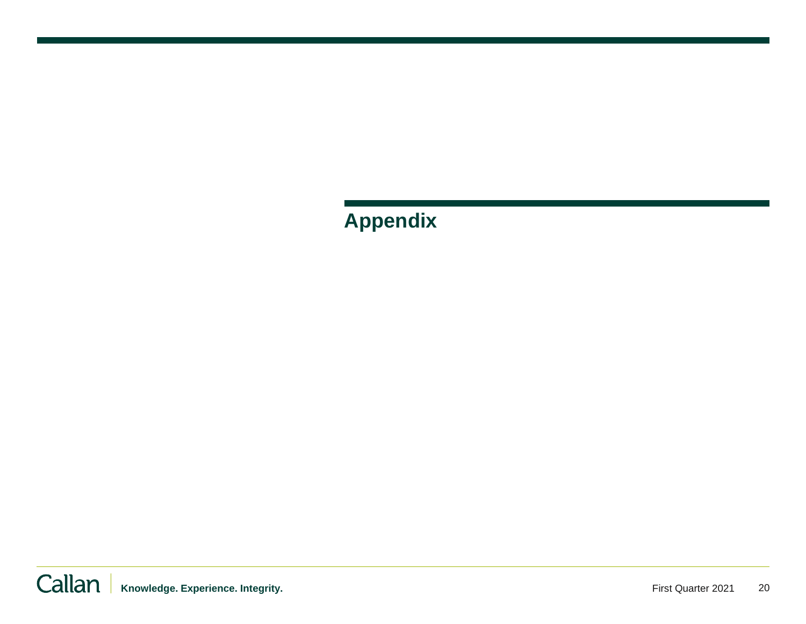**Appendix**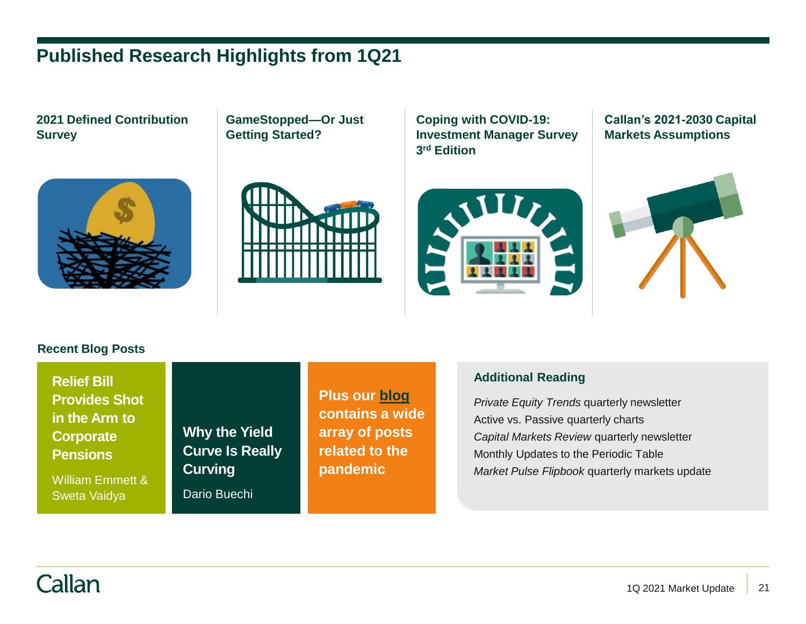# **Published Research Highlights from 1Q21**

**2021 Defined Contribution Survey**

**GameStopped—Or Just Getting Started?**

**Coping with COVID-19: Investment Manager Survey 3 rd Edition**

**Callan's 2021-2030 Capital Markets Assumptions**





**Recent Blog Posts**

**Relief Bill Provides Shot in the Arm to Corporate Pensions**

William Emmett & Sweta Vaidya

**Why the Yield Curve Is Really Curving**

Dario Buechi

**Plus our [blog](https://www.callan.com/blog/) contains a wide array of posts related to the pandemic**

### **Additional Reading**

*Private Equity Trends* quarterly newsletter Active vs. Passive quarterly charts *Capital Markets Review* quarterly newsletter Monthly Updates to the Periodic Table *Market Pulse Flipbook* quarterly markets update

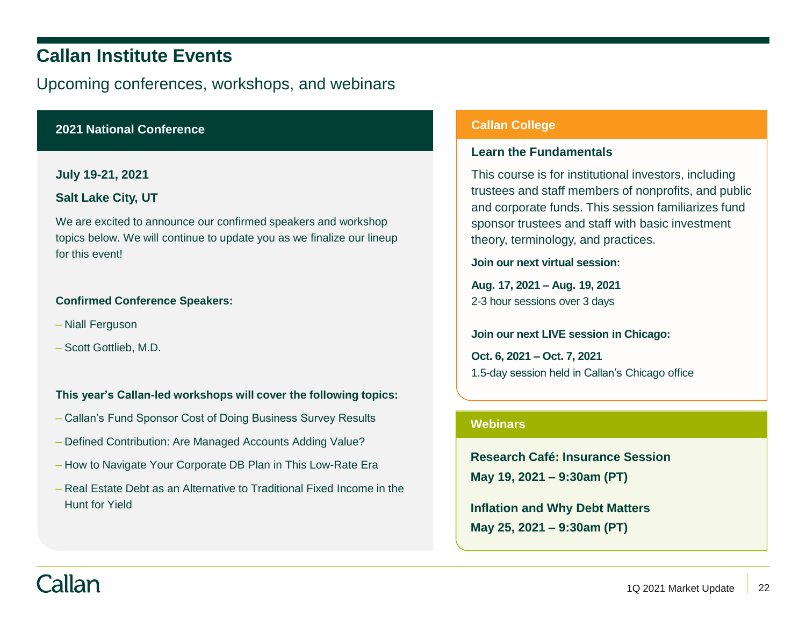# **Callan Institute Events**

Upcoming conferences, workshops, and webinars

### **2021 National Conference**

### **July 19-21, 2021**

#### **Salt Lake City, UT**

We are excited to announce our confirmed speakers and workshop topics below. We will continue to update you as we finalize our lineup for this event!

#### **Confirmed Conference Speakers:**

- Niall Ferguson
- Scott Gottlieb, M.D.

### **This year's Callan-led workshops will cover the following topics:**

- Callan's Fund Sponsor Cost of Doing Business Survey Results
- Defined Contribution: Are Managed Accounts Adding Value?
- How to Navigate Your Corporate DB Plan in This Low-Rate Era
- Real Estate Debt as an Alternative to Traditional Fixed Income in the Hunt for Yield

#### **Callan College**

#### **Learn the Fundamentals**

This course is for institutional investors, including trustees and staff members of nonprofits, and public and corporate funds. This session familiarizes fund sponsor trustees and staff with basic investment theory, terminology, and practices.

**Join our next virtual session:**

**Aug. 17, 2021 – Aug. 19, 2021** 2-3 hour sessions over 3 days

#### **Join our next LIVE session in Chicago:**

**Oct. 6, 2021 – Oct. 7, 2021** 1.5-day session held in Callan's Chicago office

### **Webinars**

**Research Café: Insurance Session May 19, 2021 – 9:30am (PT)**

**Inflation and Why Debt Matters May 25, 2021 – 9:30am (PT)**